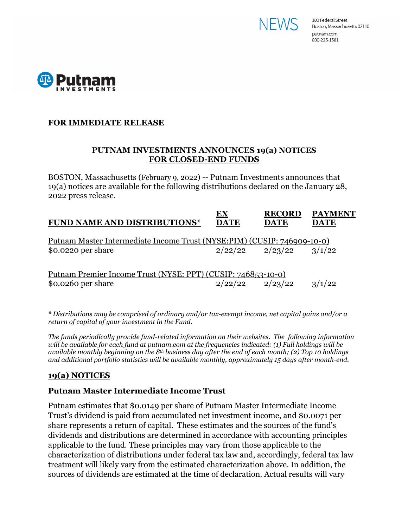



### **FOR IMMEDIATE RELEASE**

### **PUTNAM INVESTMENTS ANNOUNCES 19(a) NOTICES FOR CLOSED-END FUNDS**

BOSTON, Massachusetts (February 9, 2022) -- Putnam Investments announces that 19(a) notices are available for the following distributions declared on the January 28, 2022 press release.

| <b>FUND NAME AND DISTRIBUTIONS*</b>                                                           | EХ<br><b>DATE</b> | <b>RECORD</b><br><b>DATE</b> | <b>PAYME!</b><br><b>DATE</b> |
|-----------------------------------------------------------------------------------------------|-------------------|------------------------------|------------------------------|
| Putnam Master Intermediate Income Trust (NYSE:PIM) (CUSIP: 746909-10-0)<br>\$0.0220 per share |                   | $2/22/22$ $2/23/22$ $3/1/22$ |                              |
| Putnam Premier Income Trust (NYSE: PPT) (CUSIP: 746853-10-0)<br>\$0.0260 per share            |                   | $2/22/22$ $2/23/22$          | 3/1/22                       |

*\* Distributions may be comprised of ordinary and/or tax-exempt income, net capital gains and/or a return of capital of your investment in the Fund.*

*The funds periodically provide fund-related information on their websites. The following information will be available for each fund at putnam.com at the frequencies indicated: (1) Full holdings will be available monthly beginning on the 8th business day after the end of each month; (2) Top 10 holdings and additional portfolio statistics will be available monthly, approximately 15 days after month-end.*

# **19(a) NOTICES**

# **Putnam Master Intermediate Income Trust**

Putnam estimates that \$0.0149 per share of Putnam Master Intermediate Income Trust's dividend is paid from accumulated net investment income, and \$0.0071 per share represents a return of capital. These estimates and the sources of the fund's dividends and distributions are determined in accordance with accounting principles applicable to the fund. These principles may vary from those applicable to the characterization of distributions under federal tax law and, accordingly, federal tax law treatment will likely vary from the estimated characterization above. In addition, the sources of dividends are estimated at the time of declaration. Actual results will vary